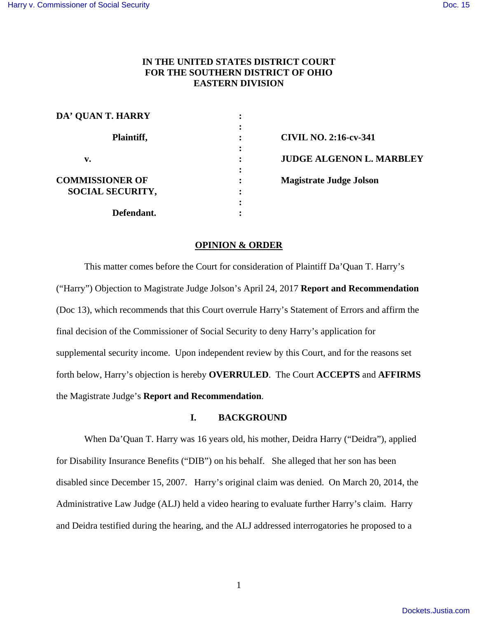# **IN THE UNITED STATES DISTRICT COURT FOR THE SOUTHERN DISTRICT OF OHIO EASTERN DIVISION**

| DA' QUAN T. HARRY       | ٠ |                                 |
|-------------------------|---|---------------------------------|
|                         |   |                                 |
| Plaintiff,              |   | <b>CIVIL NO. 2:16-cv-341</b>    |
|                         |   |                                 |
| v.                      |   | <b>JUDGE ALGENON L. MARBLEY</b> |
|                         | ٠ |                                 |
| <b>COMMISSIONER OF</b>  |   | <b>Magistrate Judge Jolson</b>  |
| <b>SOCIAL SECURITY,</b> | ٠ |                                 |
|                         | ٠ |                                 |
| Defendant.              |   |                                 |

### **OPINION & ORDER**

This matter comes before the Court for consideration of Plaintiff Da'Quan T. Harry's ("Harry") Objection to Magistrate Judge Jolson's April 24, 2017 **Report and Recommendation**  (Doc 13), which recommends that this Court overrule Harry's Statement of Errors and affirm the final decision of the Commissioner of Social Security to deny Harry's application for supplemental security income. Upon independent review by this Court, and for the reasons set forth below, Harry's objection is hereby **OVERRULED**. The Court **ACCEPTS** and **AFFIRMS**  the Magistrate Judge's **Report and Recommendation**.

## **I. BACKGROUND**

When Da'Quan T. Harry was 16 years old, his mother, Deidra Harry ("Deidra"), applied for Disability Insurance Benefits ("DIB") on his behalf. She alleged that her son has been disabled since December 15, 2007. Harry's original claim was denied. On March 20, 2014, the Administrative Law Judge (ALJ) held a video hearing to evaluate further Harry's claim. Harry and Deidra testified during the hearing, and the ALJ addressed interrogatories he proposed to a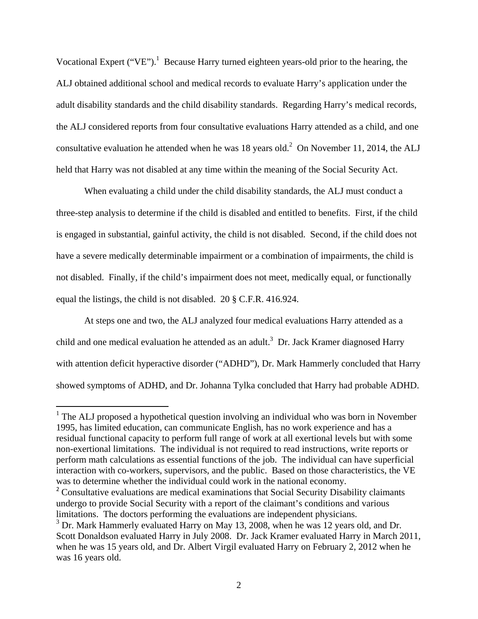Vocational Expert ("VE").<sup>1</sup> Because Harry turned eighteen years-old prior to the hearing, the ALJ obtained additional school and medical records to evaluate Harry's application under the adult disability standards and the child disability standards. Regarding Harry's medical records, the ALJ considered reports from four consultative evaluations Harry attended as a child, and one consultative evaluation he attended when he was 18 years old. $^2$  On November 11, 2014, the ALJ held that Harry was not disabled at any time within the meaning of the Social Security Act.

When evaluating a child under the child disability standards, the ALJ must conduct a three-step analysis to determine if the child is disabled and entitled to benefits. First, if the child is engaged in substantial, gainful activity, the child is not disabled. Second, if the child does not have a severe medically determinable impairment or a combination of impairments, the child is not disabled. Finally, if the child's impairment does not meet, medically equal, or functionally equal the listings, the child is not disabled. 20 § C.F.R. 416.924.

At steps one and two, the ALJ analyzed four medical evaluations Harry attended as a child and one medical evaluation he attended as an adult.<sup>3</sup> Dr. Jack Kramer diagnosed Harry with attention deficit hyperactive disorder ("ADHD"), Dr. Mark Hammerly concluded that Harry showed symptoms of ADHD, and Dr. Johanna Tylka concluded that Harry had probable ADHD.

<sup>&</sup>lt;sup>1</sup> The ALJ proposed a hypothetical question involving an individual who was born in November 1995, has limited education, can communicate English, has no work experience and has a residual functional capacity to perform full range of work at all exertional levels but with some non-exertional limitations. The individual is not required to read instructions, write reports or perform math calculations as essential functions of the job. The individual can have superficial interaction with co-workers, supervisors, and the public. Based on those characteristics, the VE was to determine whether the individual could work in the national economy.

<sup>&</sup>lt;sup>2</sup> Consultative evaluations are medical examinations that Social Security Disability claimants undergo to provide Social Security with a report of the claimant's conditions and various limitations. The doctors performing the evaluations are independent physicians.

<sup>&</sup>lt;sup>3</sup> Dr. Mark Hammerly evaluated Harry on May 13, 2008, when he was 12 years old, and Dr. Scott Donaldson evaluated Harry in July 2008. Dr. Jack Kramer evaluated Harry in March 2011, when he was 15 years old, and Dr. Albert Virgil evaluated Harry on February 2, 2012 when he was 16 years old.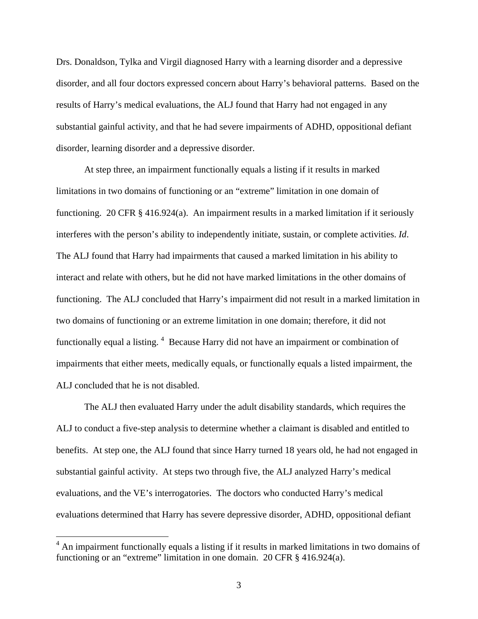Drs. Donaldson, Tylka and Virgil diagnosed Harry with a learning disorder and a depressive disorder, and all four doctors expressed concern about Harry's behavioral patterns. Based on the results of Harry's medical evaluations, the ALJ found that Harry had not engaged in any substantial gainful activity, and that he had severe impairments of ADHD, oppositional defiant disorder, learning disorder and a depressive disorder.

 At step three, an impairment functionally equals a listing if it results in marked limitations in two domains of functioning or an "extreme" limitation in one domain of functioning. 20 CFR § 416.924(a). An impairment results in a marked limitation if it seriously interferes with the person's ability to independently initiate, sustain, or complete activities. *Id*. The ALJ found that Harry had impairments that caused a marked limitation in his ability to interact and relate with others, but he did not have marked limitations in the other domains of functioning. The ALJ concluded that Harry's impairment did not result in a marked limitation in two domains of functioning or an extreme limitation in one domain; therefore, it did not functionally equal a listing. <sup>4</sup> Because Harry did not have an impairment or combination of impairments that either meets, medically equals, or functionally equals a listed impairment, the ALJ concluded that he is not disabled.

The ALJ then evaluated Harry under the adult disability standards, which requires the ALJ to conduct a five-step analysis to determine whether a claimant is disabled and entitled to benefits. At step one, the ALJ found that since Harry turned 18 years old, he had not engaged in substantial gainful activity. At steps two through five, the ALJ analyzed Harry's medical evaluations, and the VE's interrogatories. The doctors who conducted Harry's medical evaluations determined that Harry has severe depressive disorder, ADHD, oppositional defiant

<sup>&</sup>lt;sup>4</sup> An impairment functionally equals a listing if it results in marked limitations in two domains of functioning or an "extreme" limitation in one domain. 20 CFR § 416.924(a).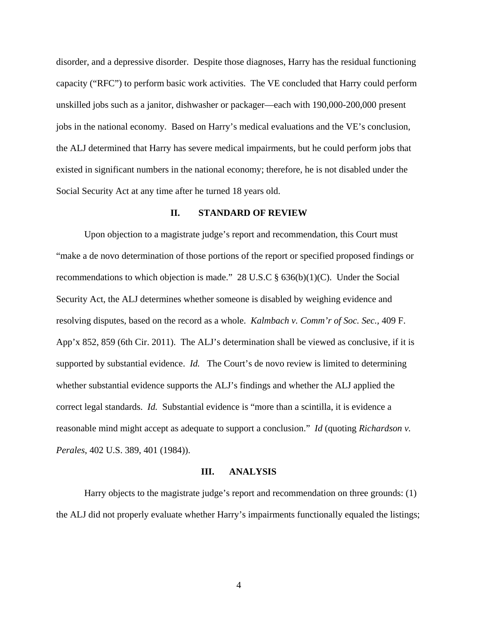disorder, and a depressive disorder. Despite those diagnoses, Harry has the residual functioning capacity ("RFC") to perform basic work activities. The VE concluded that Harry could perform unskilled jobs such as a janitor, dishwasher or packager—each with 190,000-200,000 present jobs in the national economy. Based on Harry's medical evaluations and the VE's conclusion, the ALJ determined that Harry has severe medical impairments, but he could perform jobs that existed in significant numbers in the national economy; therefore, he is not disabled under the Social Security Act at any time after he turned 18 years old.

### **II. STANDARD OF REVIEW**

Upon objection to a magistrate judge's report and recommendation, this Court must "make a de novo determination of those portions of the report or specified proposed findings or recommendations to which objection is made." 28 U.S.C  $\S$  636(b)(1)(C). Under the Social Security Act, the ALJ determines whether someone is disabled by weighing evidence and resolving disputes, based on the record as a whole. *Kalmbach v. Comm'r of Soc. Sec.,* 409 F. App'x 852, 859 (6th Cir. 2011). The ALJ's determination shall be viewed as conclusive, if it is supported by substantial evidence. *Id.* The Court's de novo review is limited to determining whether substantial evidence supports the ALJ's findings and whether the ALJ applied the correct legal standards. *Id.* Substantial evidence is "more than a scintilla, it is evidence a reasonable mind might accept as adequate to support a conclusion." *Id* (quoting *Richardson v. Perales*, 402 U.S. 389, 401 (1984)).

### **III. ANALYSIS**

Harry objects to the magistrate judge's report and recommendation on three grounds: (1) the ALJ did not properly evaluate whether Harry's impairments functionally equaled the listings;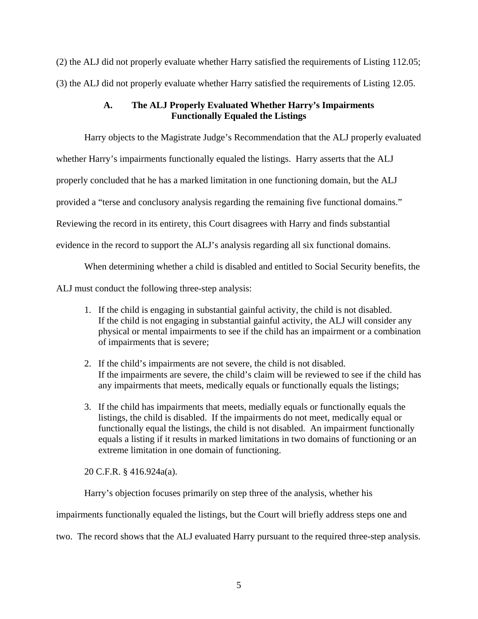(2) the ALJ did not properly evaluate whether Harry satisfied the requirements of Listing 112.05; (3) the ALJ did not properly evaluate whether Harry satisfied the requirements of Listing 12.05.

# **A. The ALJ Properly Evaluated Whether Harry's Impairments Functionally Equaled the Listings**

Harry objects to the Magistrate Judge's Recommendation that the ALJ properly evaluated

whether Harry's impairments functionally equaled the listings. Harry asserts that the ALJ

properly concluded that he has a marked limitation in one functioning domain, but the ALJ

provided a "terse and conclusory analysis regarding the remaining five functional domains."

Reviewing the record in its entirety, this Court disagrees with Harry and finds substantial

evidence in the record to support the ALJ's analysis regarding all six functional domains.

When determining whether a child is disabled and entitled to Social Security benefits, the

ALJ must conduct the following three-step analysis:

- 1. If the child is engaging in substantial gainful activity, the child is not disabled. If the child is not engaging in substantial gainful activity, the ALJ will consider any physical or mental impairments to see if the child has an impairment or a combination of impairments that is severe;
- 2. If the child's impairments are not severe, the child is not disabled. If the impairments are severe, the child's claim will be reviewed to see if the child has any impairments that meets, medically equals or functionally equals the listings;
- 3. If the child has impairments that meets, medially equals or functionally equals the listings, the child is disabled. If the impairments do not meet, medically equal or functionally equal the listings, the child is not disabled. An impairment functionally equals a listing if it results in marked limitations in two domains of functioning or an extreme limitation in one domain of functioning.

20 C.F.R. § 416.924a(a).

Harry's objection focuses primarily on step three of the analysis, whether his

impairments functionally equaled the listings, but the Court will briefly address steps one and

two. The record shows that the ALJ evaluated Harry pursuant to the required three-step analysis.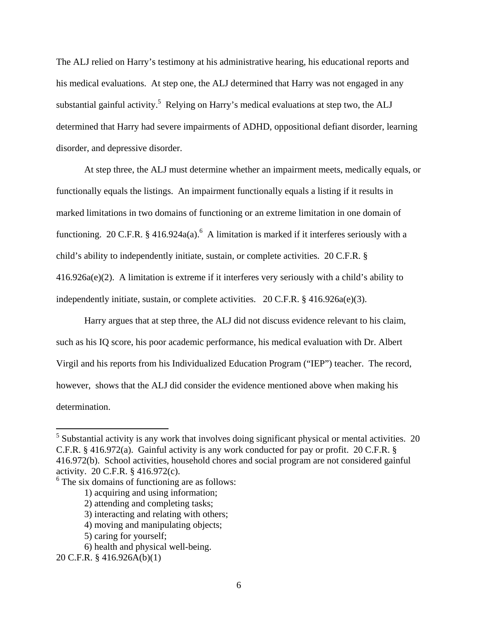The ALJ relied on Harry's testimony at his administrative hearing, his educational reports and his medical evaluations. At step one, the ALJ determined that Harry was not engaged in any substantial gainful activity.<sup>5</sup> Relying on Harry's medical evaluations at step two, the ALJ determined that Harry had severe impairments of ADHD, oppositional defiant disorder, learning disorder, and depressive disorder.

At step three, the ALJ must determine whether an impairment meets, medically equals, or functionally equals the listings. An impairment functionally equals a listing if it results in marked limitations in two domains of functioning or an extreme limitation in one domain of functioning. 20 C.F.R.  $\S$  416.924a(a).<sup>6</sup> A limitation is marked if it interferes seriously with a child's ability to independently initiate, sustain, or complete activities. 20 C.F.R. § 416.926a(e)(2). A limitation is extreme if it interferes very seriously with a child's ability to independently initiate, sustain, or complete activities.  $20 \text{ C.F.R.}$  § 416.926a(e)(3).

Harry argues that at step three, the ALJ did not discuss evidence relevant to his claim, such as his IQ score, his poor academic performance, his medical evaluation with Dr. Albert Virgil and his reports from his Individualized Education Program ("IEP") teacher. The record, however, shows that the ALJ did consider the evidence mentioned above when making his determination.

 $<sup>5</sup>$  Substantial activity is any work that involves doing significant physical or mental activities. 20</sup> C.F.R. § 416.972(a). Gainful activity is any work conducted for pay or profit. 20 C.F.R. § 416.972(b). School activities, household chores and social program are not considered gainful activity. 20 C.F.R. § 416.972(c).

<sup>&</sup>lt;sup>6</sup> The six domains of functioning are as follows:

<sup>1)</sup> acquiring and using information;

<sup>2)</sup> attending and completing tasks;

<sup>3)</sup> interacting and relating with others;

<sup>4)</sup> moving and manipulating objects;

<sup>5)</sup> caring for yourself;

<sup>6)</sup> health and physical well-being.

<sup>20</sup> C.F.R. § 416.926A(b)(1)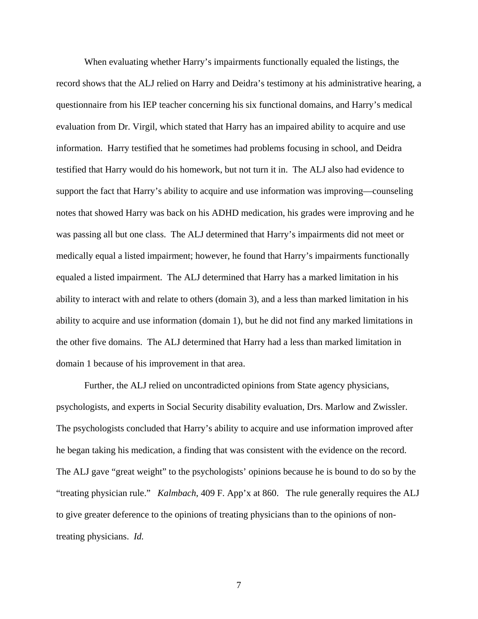When evaluating whether Harry's impairments functionally equaled the listings, the record shows that the ALJ relied on Harry and Deidra's testimony at his administrative hearing, a questionnaire from his IEP teacher concerning his six functional domains, and Harry's medical evaluation from Dr. Virgil, which stated that Harry has an impaired ability to acquire and use information. Harry testified that he sometimes had problems focusing in school, and Deidra testified that Harry would do his homework, but not turn it in. The ALJ also had evidence to support the fact that Harry's ability to acquire and use information was improving—counseling notes that showed Harry was back on his ADHD medication, his grades were improving and he was passing all but one class. The ALJ determined that Harry's impairments did not meet or medically equal a listed impairment; however, he found that Harry's impairments functionally equaled a listed impairment. The ALJ determined that Harry has a marked limitation in his ability to interact with and relate to others (domain 3), and a less than marked limitation in his ability to acquire and use information (domain 1), but he did not find any marked limitations in the other five domains. The ALJ determined that Harry had a less than marked limitation in domain 1 because of his improvement in that area.

Further, the ALJ relied on uncontradicted opinions from State agency physicians, psychologists, and experts in Social Security disability evaluation, Drs. Marlow and Zwissler. The psychologists concluded that Harry's ability to acquire and use information improved after he began taking his medication, a finding that was consistent with the evidence on the record. The ALJ gave "great weight" to the psychologists' opinions because he is bound to do so by the "treating physician rule." *Kalmbach*, 409 F. App'x at 860. The rule generally requires the ALJ to give greater deference to the opinions of treating physicians than to the opinions of nontreating physicians. *Id.*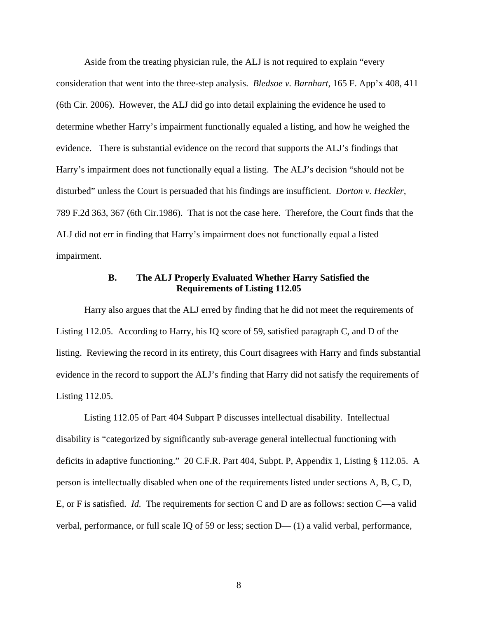Aside from the treating physician rule, the ALJ is not required to explain "every consideration that went into the three-step analysis. *Bledsoe v. Barnhart*, 165 F. App'x 408, 411 (6th Cir. 2006). However, the ALJ did go into detail explaining the evidence he used to determine whether Harry's impairment functionally equaled a listing, and how he weighed the evidence. There is substantial evidence on the record that supports the ALJ's findings that Harry's impairment does not functionally equal a listing. The ALJ's decision "should not be disturbed" unless the Court is persuaded that his findings are insufficient. *Dorton v. Heckler,* 789 F.2d 363, 367 (6th Cir.1986). That is not the case here. Therefore, the Court finds that the ALJ did not err in finding that Harry's impairment does not functionally equal a listed impairment.

## **B. The ALJ Properly Evaluated Whether Harry Satisfied the Requirements of Listing 112.05**

Harry also argues that the ALJ erred by finding that he did not meet the requirements of Listing 112.05. According to Harry, his IQ score of 59, satisfied paragraph C, and D of the listing. Reviewing the record in its entirety, this Court disagrees with Harry and finds substantial evidence in the record to support the ALJ's finding that Harry did not satisfy the requirements of Listing 112.05.

Listing 112.05 of Part 404 Subpart P discusses intellectual disability. Intellectual disability is "categorized by significantly sub-average general intellectual functioning with deficits in adaptive functioning." 20 C.F.R. Part 404, Subpt. P, Appendix 1, Listing § 112.05. A person is intellectually disabled when one of the requirements listed under sections A, B, C, D, E, or F is satisfied. *Id.* The requirements for section C and D are as follows: section C—a valid verbal, performance, or full scale IQ of 59 or less; section D— (1) a valid verbal, performance,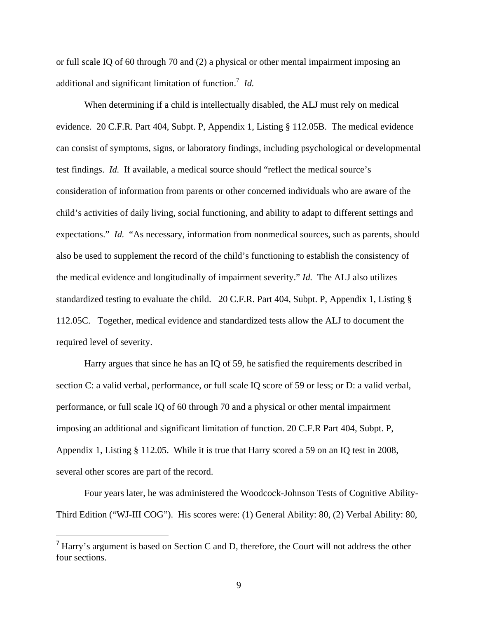or full scale IQ of 60 through 70 and (2) a physical or other mental impairment imposing an additional and significant limitation of function.<sup>7</sup> *Id.*

When determining if a child is intellectually disabled, the ALJ must rely on medical evidence. 20 C.F.R. Part 404, Subpt. P, Appendix 1, Listing § 112.05B. The medical evidence can consist of symptoms, signs, or laboratory findings, including psychological or developmental test findings. *Id.* If available, a medical source should "reflect the medical source's consideration of information from parents or other concerned individuals who are aware of the child's activities of daily living, social functioning, and ability to adapt to different settings and expectations." *Id.* "As necessary, information from nonmedical sources, such as parents, should also be used to supplement the record of the child's functioning to establish the consistency of the medical evidence and longitudinally of impairment severity." *Id.* The ALJ also utilizes standardized testing to evaluate the child. 20 C.F.R. Part 404, Subpt. P, Appendix 1, Listing § 112.05C. Together, medical evidence and standardized tests allow the ALJ to document the required level of severity.

Harry argues that since he has an IQ of 59, he satisfied the requirements described in section C: a valid verbal, performance, or full scale IQ score of 59 or less; or D: a valid verbal, performance, or full scale IQ of 60 through 70 and a physical or other mental impairment imposing an additional and significant limitation of function. 20 C.F.R Part 404, Subpt. P, Appendix 1, Listing § 112.05. While it is true that Harry scored a 59 on an IQ test in 2008, several other scores are part of the record.

Four years later, he was administered the Woodcock-Johnson Tests of Cognitive Ability-Third Edition ("WJ-III COG"). His scores were: (1) General Ability: 80, (2) Verbal Ability: 80,

 $<sup>7</sup>$  Harry's argument is based on Section C and D, therefore, the Court will not address the other</sup> four sections.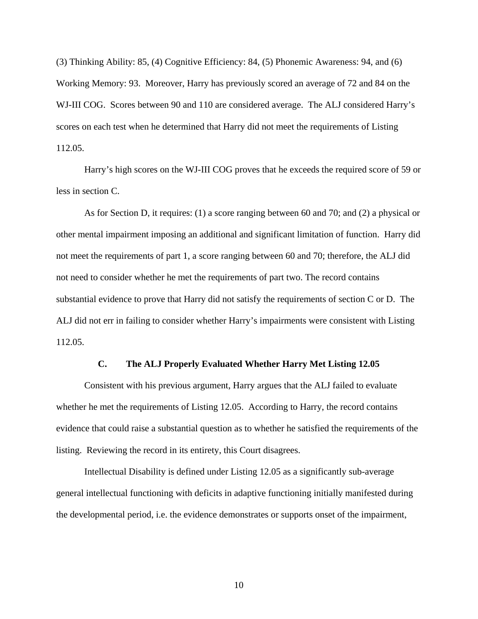(3) Thinking Ability: 85, (4) Cognitive Efficiency: 84, (5) Phonemic Awareness: 94, and (6) Working Memory: 93. Moreover, Harry has previously scored an average of 72 and 84 on the WJ-III COG. Scores between 90 and 110 are considered average. The ALJ considered Harry's scores on each test when he determined that Harry did not meet the requirements of Listing 112.05.

Harry's high scores on the WJ-III COG proves that he exceeds the required score of 59 or less in section C.

As for Section D, it requires: (1) a score ranging between 60 and 70; and (2) a physical or other mental impairment imposing an additional and significant limitation of function. Harry did not meet the requirements of part 1, a score ranging between 60 and 70; therefore, the ALJ did not need to consider whether he met the requirements of part two. The record contains substantial evidence to prove that Harry did not satisfy the requirements of section C or D. The ALJ did not err in failing to consider whether Harry's impairments were consistent with Listing 112.05.

### **C. The ALJ Properly Evaluated Whether Harry Met Listing 12.05**

Consistent with his previous argument, Harry argues that the ALJ failed to evaluate whether he met the requirements of Listing 12.05. According to Harry, the record contains evidence that could raise a substantial question as to whether he satisfied the requirements of the listing. Reviewing the record in its entirety, this Court disagrees.

Intellectual Disability is defined under Listing 12.05 as a significantly sub-average general intellectual functioning with deficits in adaptive functioning initially manifested during the developmental period, i.e. the evidence demonstrates or supports onset of the impairment,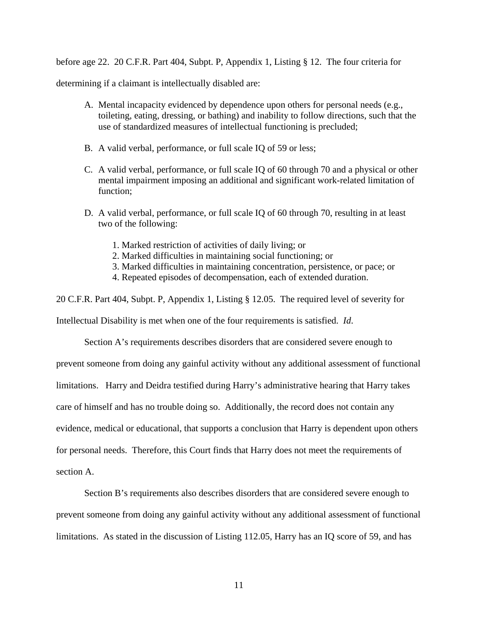before age 22. 20 C.F.R. Part 404, Subpt. P, Appendix 1, Listing § 12. The four criteria for

determining if a claimant is intellectually disabled are:

- A. Mental incapacity evidenced by dependence upon others for personal needs (e.g., toileting, eating, dressing, or bathing) and inability to follow directions, such that the use of standardized measures of intellectual functioning is precluded;
- B. A valid verbal, performance, or full scale IQ of 59 or less;
- C. A valid verbal, performance, or full scale IQ of 60 through 70 and a physical or other mental impairment imposing an additional and significant work-related limitation of function;
- D. A valid verbal, performance, or full scale IQ of 60 through 70, resulting in at least two of the following:
	- 1. Marked restriction of activities of daily living; or
	- 2. Marked difficulties in maintaining social functioning; or
	- 3. Marked difficulties in maintaining concentration, persistence, or pace; or
	- 4. Repeated episodes of decompensation, each of extended duration.

20 C.F.R. Part 404, Subpt. P, Appendix 1, Listing § 12.05. The required level of severity for

Intellectual Disability is met when one of the four requirements is satisfied. *Id*.

Section A's requirements describes disorders that are considered severe enough to prevent someone from doing any gainful activity without any additional assessment of functional limitations. Harry and Deidra testified during Harry's administrative hearing that Harry takes care of himself and has no trouble doing so. Additionally, the record does not contain any evidence, medical or educational, that supports a conclusion that Harry is dependent upon others for personal needs. Therefore, this Court finds that Harry does not meet the requirements of section A.

Section B's requirements also describes disorders that are considered severe enough to prevent someone from doing any gainful activity without any additional assessment of functional limitations. As stated in the discussion of Listing 112.05, Harry has an IQ score of 59, and has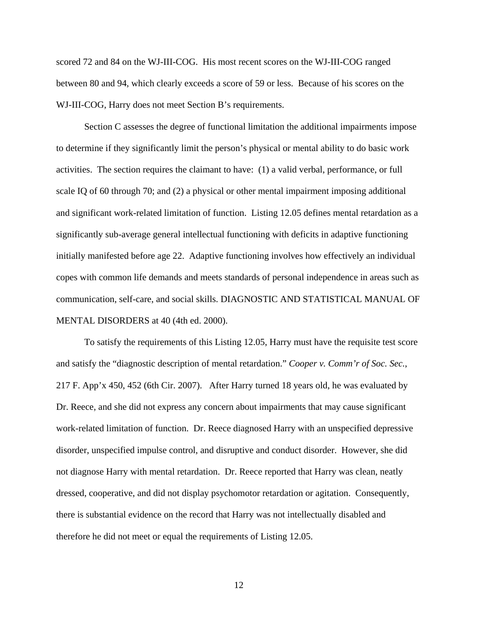scored 72 and 84 on the WJ-III-COG. His most recent scores on the WJ-III-COG ranged between 80 and 94, which clearly exceeds a score of 59 or less. Because of his scores on the WJ-III-COG, Harry does not meet Section B's requirements.

Section C assesses the degree of functional limitation the additional impairments impose to determine if they significantly limit the person's physical or mental ability to do basic work activities. The section requires the claimant to have: (1) a valid verbal, performance, or full scale IQ of 60 through 70; and (2) a physical or other mental impairment imposing additional and significant work-related limitation of function. Listing 12.05 defines mental retardation as a significantly sub-average general intellectual functioning with deficits in adaptive functioning initially manifested before age 22. Adaptive functioning involves how effectively an individual copes with common life demands and meets standards of personal independence in areas such as communication, self-care, and social skills. DIAGNOSTIC AND STATISTICAL MANUAL OF MENTAL DISORDERS at 40 (4th ed. 2000).

To satisfy the requirements of this Listing 12.05, Harry must have the requisite test score and satisfy the "diagnostic description of mental retardation." *Cooper v. Comm'r of Soc. Sec.*, 217 F. App'x 450, 452 (6th Cir. 2007). After Harry turned 18 years old, he was evaluated by Dr. Reece, and she did not express any concern about impairments that may cause significant work-related limitation of function. Dr. Reece diagnosed Harry with an unspecified depressive disorder, unspecified impulse control, and disruptive and conduct disorder. However, she did not diagnose Harry with mental retardation. Dr. Reece reported that Harry was clean, neatly dressed, cooperative, and did not display psychomotor retardation or agitation. Consequently, there is substantial evidence on the record that Harry was not intellectually disabled and therefore he did not meet or equal the requirements of Listing 12.05.